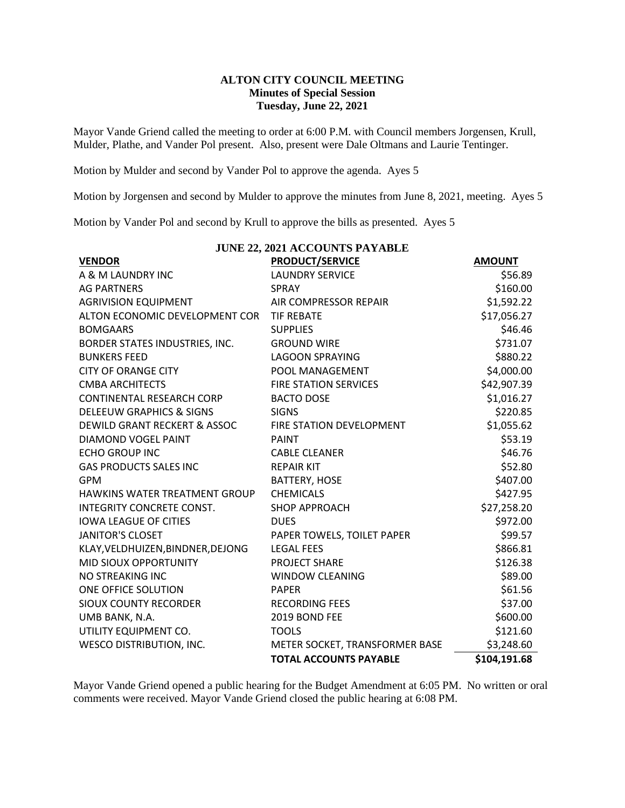## **ALTON CITY COUNCIL MEETING Minutes of Special Session Tuesday, June 22, 2021**

Mayor Vande Griend called the meeting to order at 6:00 P.M. with Council members Jorgensen, Krull, Mulder, Plathe, and Vander Pol present. Also, present were Dale Oltmans and Laurie Tentinger.

Motion by Mulder and second by Vander Pol to approve the agenda. Ayes 5

Motion by Jorgensen and second by Mulder to approve the minutes from June 8, 2021, meeting. Ayes 5

Motion by Vander Pol and second by Krull to approve the bills as presented. Ayes 5

| <b>JUNE 22, 2021 ACCOUNTS PAYABLE</b>   |                                |               |
|-----------------------------------------|--------------------------------|---------------|
| <b>VENDOR</b>                           | <b>PRODUCT/SERVICE</b>         | <b>AMOUNT</b> |
| A & M LAUNDRY INC                       | <b>LAUNDRY SERVICE</b>         | \$56.89       |
| <b>AG PARTNERS</b>                      | <b>SPRAY</b>                   | \$160.00      |
| <b>AGRIVISION EQUIPMENT</b>             | AIR COMPRESSOR REPAIR          | \$1,592.22    |
| ALTON ECONOMIC DEVELOPMENT COR          | <b>TIF REBATE</b>              | \$17,056.27   |
| <b>BOMGAARS</b>                         | <b>SUPPLIES</b>                | \$46.46       |
| BORDER STATES INDUSTRIES, INC.          | <b>GROUND WIRE</b>             | \$731.07      |
| <b>BUNKERS FEED</b>                     | <b>LAGOON SPRAYING</b>         | \$880.22      |
| <b>CITY OF ORANGE CITY</b>              | POOL MANAGEMENT                | \$4,000.00    |
| <b>CMBA ARCHITECTS</b>                  | <b>FIRE STATION SERVICES</b>   | \$42,907.39   |
| <b>CONTINENTAL RESEARCH CORP</b>        | <b>BACTO DOSE</b>              | \$1,016.27    |
| <b>DELEEUW GRAPHICS &amp; SIGNS</b>     | <b>SIGNS</b>                   | \$220.85      |
| <b>DEWILD GRANT RECKERT &amp; ASSOC</b> | FIRE STATION DEVELOPMENT       | \$1,055.62    |
| DIAMOND VOGEL PAINT                     | <b>PAINT</b>                   | \$53.19       |
| <b>ECHO GROUP INC</b>                   | <b>CABLE CLEANER</b>           | \$46.76       |
| <b>GAS PRODUCTS SALES INC</b>           | <b>REPAIR KIT</b>              | \$52.80       |
| <b>GPM</b>                              | <b>BATTERY, HOSE</b>           | \$407.00      |
| HAWKINS WATER TREATMENT GROUP           | <b>CHEMICALS</b>               | \$427.95      |
| <b>INTEGRITY CONCRETE CONST.</b>        | <b>SHOP APPROACH</b>           | \$27,258.20   |
| <b>IOWA LEAGUE OF CITIES</b>            | <b>DUES</b>                    | \$972.00      |
| <b>JANITOR'S CLOSET</b>                 | PAPER TOWELS, TOILET PAPER     | \$99.57       |
| KLAY, VELDHUIZEN, BINDNER, DEJONG       | <b>LEGAL FEES</b>              | \$866.81      |
| MID SIOUX OPPORTUNITY                   | PROJECT SHARE                  | \$126.38      |
| NO STREAKING INC                        | <b>WINDOW CLEANING</b>         | \$89.00       |
| ONE OFFICE SOLUTION                     | <b>PAPER</b>                   | \$61.56       |
| <b>SIOUX COUNTY RECORDER</b>            | <b>RECORDING FEES</b>          | \$37.00       |
| UMB BANK, N.A.                          | 2019 BOND FEE                  | \$600.00      |
| UTILITY EQUIPMENT CO.                   | <b>TOOLS</b>                   | \$121.60      |
| <b>WESCO DISTRIBUTION, INC.</b>         | METER SOCKET, TRANSFORMER BASE | \$3,248.60    |
|                                         | <b>TOTAL ACCOUNTS PAYABLE</b>  | \$104,191.68  |

Mayor Vande Griend opened a public hearing for the Budget Amendment at 6:05 PM. No written or oral comments were received. Mayor Vande Griend closed the public hearing at 6:08 PM.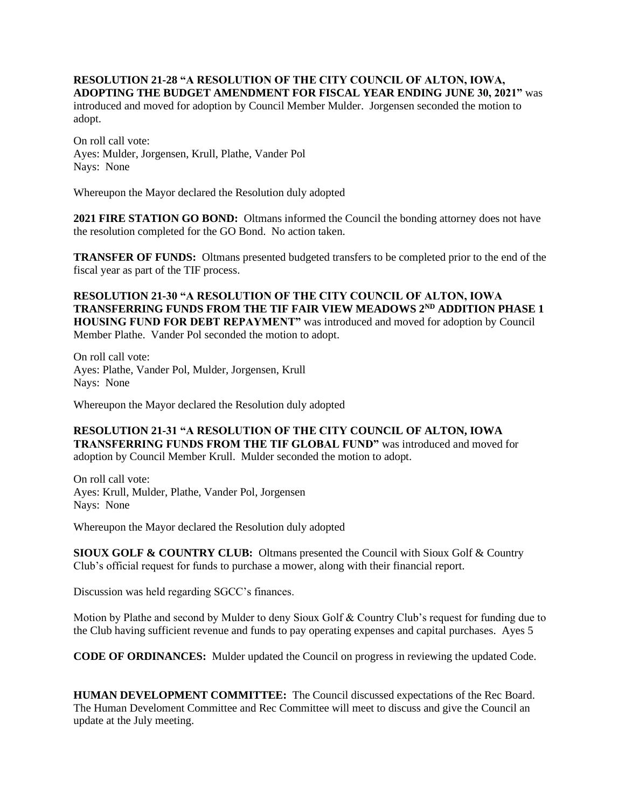## **RESOLUTION 21-28 "A RESOLUTION OF THE CITY COUNCIL OF ALTON, IOWA, ADOPTING THE BUDGET AMENDMENT FOR FISCAL YEAR ENDING JUNE 30, 2021"** was

introduced and moved for adoption by Council Member Mulder. Jorgensen seconded the motion to adopt.

On roll call vote: Ayes: Mulder, Jorgensen, Krull, Plathe, Vander Pol Nays: None

Whereupon the Mayor declared the Resolution duly adopted

**2021 FIRE STATION GO BOND:** Oltmans informed the Council the bonding attorney does not have the resolution completed for the GO Bond. No action taken.

**TRANSFER OF FUNDS:** Oltmans presented budgeted transfers to be completed prior to the end of the fiscal year as part of the TIF process.

**RESOLUTION 21-30 "A RESOLUTION OF THE CITY COUNCIL OF ALTON, IOWA TRANSFERRING FUNDS FROM THE TIF FAIR VIEW MEADOWS 2ND ADDITION PHASE 1 HOUSING FUND FOR DEBT REPAYMENT"** was introduced and moved for adoption by Council Member Plathe. Vander Pol seconded the motion to adopt.

On roll call vote: Ayes: Plathe, Vander Pol, Mulder, Jorgensen, Krull Nays: None

Whereupon the Mayor declared the Resolution duly adopted

**RESOLUTION 21-31 "A RESOLUTION OF THE CITY COUNCIL OF ALTON, IOWA TRANSFERRING FUNDS FROM THE TIF GLOBAL FUND"** was introduced and moved for adoption by Council Member Krull. Mulder seconded the motion to adopt.

On roll call vote: Ayes: Krull, Mulder, Plathe, Vander Pol, Jorgensen Nays: None

Whereupon the Mayor declared the Resolution duly adopted

**SIOUX GOLF & COUNTRY CLUB:** Oltmans presented the Council with Sioux Golf & Country Club's official request for funds to purchase a mower, along with their financial report.

Discussion was held regarding SGCC's finances.

Motion by Plathe and second by Mulder to deny Sioux Golf & Country Club's request for funding due to the Club having sufficient revenue and funds to pay operating expenses and capital purchases. Ayes 5

**CODE OF ORDINANCES:** Mulder updated the Council on progress in reviewing the updated Code.

**HUMAN DEVELOPMENT COMMITTEE:** The Council discussed expectations of the Rec Board. The Human Develoment Committee and Rec Committee will meet to discuss and give the Council an update at the July meeting.